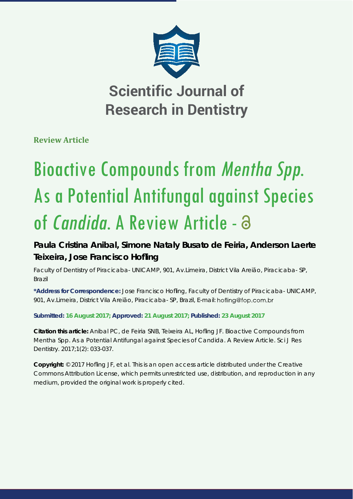

**Scientific Journal of Research in Dentistry**

**Review Article**

# Bioactive Compounds from Mentha Spp. As a Potential Antifungal against Species of *Candida*. A Review Article - 3

**Paula Cristina Anibal, Simone Nataly Busato de Feiria, Anderson Laerte Teixeira, Jose Francisco Hofl ing**

*Faculty of Dentistry of Piracicaba- UNICAMP, 901, Av.Limeira, District Vila Areião, Piracicaba- SP, Brazil*

\*Address for Correspondence: Jose Francisco Hofling, Faculty of Dentistry of Piracicaba- UNICAMP, 901, Av.Limeira, District Vila Areião, Piracicaba- SP, Brazil, E-mail: hofling@fop.com.br

**Submitted: 16 August 2017; Approved: 21 August 2017; Published: 23 August 2017**

**Citation this article:** Anibal PC, de Feiria SNB, Teixeira AL, Hofling JF. Bioactive Compounds from *Mentha Spp*. As a Potential Antifungal against Species of *Candida*. A Review Article. Sci J Res Dentistry. 2017;1(2): 033-037.

**Copyright: © 2017 Hofling JF, et al. This is an open access article distributed under the Creative** Commons Attribution License, which permits unrestricted use, distribution, and reproduction in any medium, provided the original work is properly cited.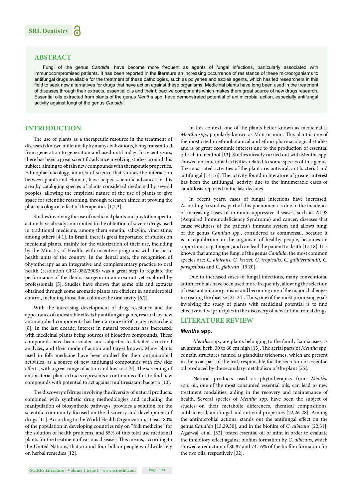# **ABSTRACT**

Fungi of the genus *Candida*, have become more frequent as agents of fungal infections, particularly associated with immunocompromised patients. It has been reported in the literature an increasing occurrence of resistance of these microorganisms to antifungal drugs available for the treatment of these pathologies, such as polyenes and azoles agents, which has led researchers in this field to seek new alternatives for drugs that have action against these organisms. Medicinal plants have long been used in the treatment of diseases through their extracts, essential oils and their bioactive components which makes them great source of new drugs research. Essential oils extracted from plants of the genus *Mentha* spp. have demonstrated potential of antimicrobial action, especially antifungal activity against fungi of the genus *Candida*.

# **INTRODUCTION**

The use of plants as a therapeutic resource in the treatment of diseases is known millennially by many civilizations, being transmitted from generation to generation and used until today. In recent years, there has been a great scientific advance involving studies around this subject, aiming to obtain new compounds with therapeutic properties. Ethnopharmacology, an area of science that studies the interaction between plants and Human, have helped scientific advances in this area by cataloging species of plants considered medicinal by several peoples, allowing the empirical nature of the use of plants to give space for scientific reasoning, through research aimed at proving the pharmacological effect of therapeutics  $[1,2,3]$ .

Studies involving the use of medicinal plants and phytotherapeutic action have already contributed to the obtaition of several drugs used in traditional medicine, among them emetin, salicylin, vincristine, among others [4,1]. In Brazil, there is great importance of studies on medicinal plants, mainly for the valorization of their use, including by the Ministry of Health, with incentive programs with the basic health units of the country. In the dental area, the recognition of phytotherapy as an integrative and complementary practice to oral health (resolution CFO-082/2008) was a great step to regulate the performance of the dentist surgeon in an area not yet explored by professionals [5]. Studies have shown that some oils and extracts obtained through some aromatic plants are efficient in antimicrobial control, including those that colonize the oral cavity [6,7].

With the increasing development of drug resistance and the appearance of undesirable effects by antifungal agents, research by new antimicrobial components has been a concern of many researchers [8]. In the last decade, interest in natural products has increased, with medicinal plants being sources of bioactive compounds. These compounds have been isolated and subjected to detailed structural analyzes, and their mode of action and target known. Many plants used in folk medicine have been studied for their antimicrobial activities, as a source of new antifungal compounds with few side effects, with a great range of action and low cost [9]. The screening of antibacterial plant extracts represents a continuous effort to find new compounds with potential to act against multiresistant bacteria [10].

The discovery of drugs involving the diversity of natural products, combined with synthetic drug methodologies and including the manipulation of biosynthetic pathways, provides a solution for the scientific community focused on the discovery and development of drugs [11]. According to the World Health Organization, at least 80% of the population in developing countries rely on "folk medicine" for the solution of health problems, and 85% of this total use medicinal plants for the treatment of various diseases. This means, according to the United Nations, that around four billion people worldwide rely on herbal remedies [12].

In this context, one of the plants better known as medicinal is *Mentha spp.*, popularly known as Mint or mint. This plant is one of the most cited in ethnobotanical and ethno-pharmacological studies and is of great economic interest due to the production of essential oil rich in menthol [13]. Studies already carried out with Mentha spp. showed antimicrobial activities related to some species of this genus. The most cited activities of the plant are: antiviral, antibacterial and antifungal [14-16]. The activity found in literature of greater interest has been the antifungal, activity due to the innumerable cases of candidosis reported in the last decades.

In recent years, cases of fungal infections have increased. According to studies, part of this phenomena is due to the incidence of increasing cases of immunosuppressive diseases, such as AIDS (Acquired Immunodeficiency Syndrome) and cancer, diseases that cause weakness of the patient's immune system and allows fungi of the genus *Candida spp*., considered as commensal, because it is in equilibrium in the organism of healthy people, becomes an opportunistic pathogen, and can lead the patient to death [17,18]. It is known that among the fungi of the genus *Candida*, the most common species are: *C. albicans, C. krusei, C. tropicalis, C. guilliermondii, C. parapsilosis* and *C. glabrata* [19,20].

Due to increased cases of fungal infections, many conventional antimicrobials have been used more frequently, allowing the selection of resistant microorganisms and becoming one of the major challenges in treating the disease  $[21-24]$ . Thus, one of the most promising goals involving the study of plants with medicinal potential is to find effective active principles in the discovery of new antimicrobial drugs.

## **LITERATURE REVIEW**

#### *Mentha* **spp.**

 *Mentha* spp., are plants belonging to the family Lamiaceaes, is an annual herb, 30 to 60 cm high [13]. The aerial parts of *Mentha* spp. contain structures named as glandular trichomes, which are present in the axial part of the leaf, responsible for the secretion of essential oil produced by the secondary metabolism of the plant [25].

 Natural products used as phytotherapics from *Mentha* spp. oil, one of the most consumed essential oils, can lead to new treatment modalities, aiding in the recovery and maintenance of health. Several species of *Mentha* spp. have been the subject of studies on their metabolic differences, chemical compositions, antibacterial, antifungal and antiviral properties [22,26-28]. Among the antimicrobial actions, stands out the antifungal effect on the genus *Candida* [13,29,30], and in the biofilm of *C. albicans* [22,31]. Agarwal, et al. [32], tested essential oil of mint in order to evaluate the inhibitory effect against biofilm formation by *C. albicans*, which showed a reduction of 80.87 and 74.16% of the biofilm formation for the two oils, respectively [32].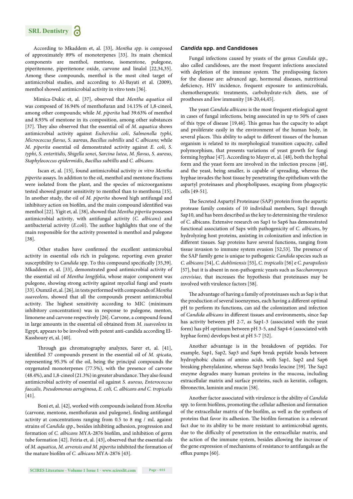

According to Mkaddem et, al. [33], *Mentha spp*. is composed of approximately 89% of monoterpenes [33]. Its main chemical components are menthol, mentone, isomentone, pulegone, piperitenone, piperitenone oxide, carvone and linalol [22,34,35]. Among these compounds, menthol is the most cited target of antimicrobial studies, and according to Al-Bayati et al. (2009), menthol showed antimicrobial activity in vitro tests [36].

Mimica-Dukic et, al. [37], observed that *Mentha aquatica* oil was composed of 16.94% of menthofuran and 14.15% of 1,8-cineol, among other compounds; while *M*. *piperita* had 39.63% of menthol and 8.93% of mentone in its composition, among other substances [37]. They also observed that the essential oil of *M. aquatica* shows antimicrobial activity against *Escherchia coli*, *Salmonella typhi*, *Micrococcus fl avus*, *S*. au*r*eus, *Bacillus subtillis* and C *albicans*; while *M*. *piperita* essential oil demonstrated activity against *E*. *coli*, *S*. *typhi*, *S*. *enteritidis*, *Shigella sonei*, *Sarcina lutea*, *M*. *fl avus*, *S*. *aureus*, *Staphylococcus epidermidis*, *Bacillus subtillis* and *C. albicans*.

 Iscan et, al. [15], found antimicrobial activity *in vitro Mentha piperita* assays. In addition to the oil, menthol and mentone fractions were isolated from the plant, and the species of microorganisms tested showed greater sensitivity to menthol than to menthona [15]. In another study, the oil of *M. piperita* showed high antifungal and inhibitory action on biofilm, and the main compound identified was menthol [22]. Yigit et, al. [38], showed that *Mentha piperita* possesses antimicrobial activity, with antifungal activity (*C. albicans*) and antibacterial activity (*E.coli*). The author highlights that one of the main responsible for the activity presented is menthol and pulegone [38].

Other studies have confirmed the excellent antimicrobial activity in essential oils rich in pulegone, reporting even greater susceptibility to *Candida* spp. To this compound specifically [35,39]. Mkaddem et, al. [33], demonstrated good antimicrobial activity of the essential oil of *Mentha longifolia*, whose major component was pulegone, showing strong activity against mycelial fungi and yeasts [33]. Oumzil et, al. [26], in tests performed with compounds of *Mentha suaveolens*, showed that all the compounds present antimicrobial activity. The highest sensitivity according to MIC (minimum inhibitory concentration) was in response to pulegone, menton, limonene and carvone respectively [26]. Carvone, a compound found in large amounts in the essential oil obtained from *M. suaveolens* in Egypt, appears to be involved with potent anti-candida according El-Kasshoury et, al. [40].

Through gas chromatography analyzes, Sarer et, al. [41], identified 37 compounds present in the essential oil of *M. spicata*, representing 95.3% of the oil, being the principal compounds the oxygenated monoterpenes (77.5%), with the presence of carvone  $(48.4\%)$ , and 1,8-cineol  $(21.3\%)$  in greater abundance. They also found antimicrobial activity of essential oil against *S. aureus, Enterococcus faecalis, Pseudomonas aeruginosa*, *E. coli, C. albicans and C. tropicalis* [41].

 Boni et, al. [42], worked with compounds isolated from *Mentha* (carvone, mentone, menthofuran and pulegone), finding antifungal activity at concentrations ranging from 0.5 to 8 mg / mL against strains of *Candida spp*., besides inhibiting adhesion, progression and formation of *C. albicans* MYA-2876 biofilm, and inhibition of germ tube formation [42]. Feiria et, al. [43], observed that the essential oils of *M. aquatica, M. arvensis and M. piperita* inhibited the formation of the mature biofilm of *C. albicans* MYA-2876 [43].

### *Candida* **spp. and Candidoses**

Fungal infections caused by yeasts of the genus *Candida spp*., also called candidoses, are the most frequent infections associated with depletion of the immune system. The predisposing factors for the disease are: advanced age, hormonal diseases, nutritional deficiency, HIV incidence, frequent exposure to antimicrobials, chemotherapeutic treatments, carbohydrate-rich diets, use of prostheses and low immunity [18-20,44,45].

The yeast *Candida albicans* is the most frequent etiological agent in cases of fungal infections, being associated in up to 50% of cases of this type of disease [19,46]. This genus has the capacity to adapt and proliferate easily in the environment of the human body, in several places. This ability to adapt to different tissues of the human organism is related to its morphological transition capacity, called polymorphism, that presents variations of yeast growth for fungi forming hyphae [47]. According to Mayer et, al. [48], both the hyphal form and the yeast form are involved in the infection process [48], and the yeast, being smaller, is capable of spreading, whereas the hyphae invades the host tissue by penetrating the epithelium with the aspartyl proteinases and phospholipases, escaping from phagocytic cells [49-51].

The Secreted Aspartyl Proteinase (SAP) protein from the aspartic protease family consists of 10 individual members, Sap1 through Sap10, and has been described as the key to determining the virulence of C. albicans. Extensive research on Sap1 to Sap6 has demonstrated functional association of Saps with pathogenicity of *C. albicans*, by hydrolyzing host proteins, assisting in colonization and infection in different tissues. Sap proteins have several functions, ranging from tissue invasion to immune system evasion [52,53]. The presence of the SAP family gene is unique to pathogenic *Candida* species such as *C. albicans* [54], *C. dubliniensis* [55], *C. tropicalis* [56] e *C. parapsilosis* [57], but it is absent in non-pathogenic yeasts such as *Saccharomyces cerevisiae*, that increases the hypothesis that proteinases may be involved with virulence factors [58].

The advantage of having a family of proteinases such as Sap is that the production of several isoenzymes, each having a different optimal pH to perform its functions, can aid the colonization and infection of *Candida albicans* in different tissues and environments, since Sap has activity between pH 2-7, as Sap1-3 (associated with the yeast form) has pH optimum between pH 3-5, and Sap4-6 (associated with hyphae form) develops best at pH 5-7 [52].

Another advantage is in the breakdown of peptides. For example, Sap1, Sap2, Sap3 and Sap6 break peptide bonds between hydrophobic chains of amino acids, with Sap1, Sap2 and Sap6 breaking phenylalanine, whereas Sap3 breaks leucine [59]. The Sap2 enzyme degrades many human proteins in the mucosa, including extracellular matrix and surface proteins, such as keratin, collagen, fibronectin, laminin and mucin [58].

Another factor associated with virulence is the ability of *Candida* spp. to form biofilms, promoting the cellular adhesion and formation of the extracellular matrix of the biofilm, as well as the synthesis of proteins that favor its adhesion. The biofilm formation is a relevant fact due to its ability to be more resistant to antimicrobial agents, due to the difficulty of penetration in the extracellular matrix, and the action of the immune system, besides allowing the increase of the gene expression of mechanisms of resistance to antifungals as the efflux pumps [60].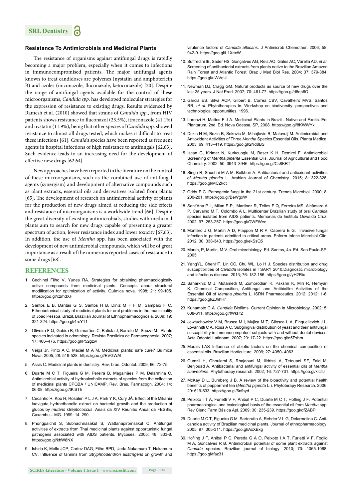# **Resistance To Antimicrobials and Medicinal Plants**

The resistance of organisms against antifungal drugs is rapidly becoming a major problem, especially when it comes to infections in immunocompromised patients. The major antifungal agents known to treat candidoses are polyenes (nystatin and amphotericin B) and azoles (miconazole, fluconazole, ketoconazole) [20]. Despite the range of antifungal agents available for the control of these microorganisms, *Candida spp.* has developed molecular strategies for the expression of resistance to existing drugs. Results evidenced by Ramesh et al. (2010) showed that strains of *Candida spp*., from HIV patients shows resistance to fluconazol (23.5%), itraconazole (41.1%) and nystatin (11.9%), being that other species of *Candida* spp. showed resistance to almost all drugs tested, which makes it difficult to treat these infections [61]. *Candida* species have been reported as frequent agents in hospital infections of high resistance to antifungals [62,63]. Such evidence leads to an increasing need for the development of effective new drugs [62,64].

New approaches have been reported in the literature on the control of these microorganisms, such as the combined use of antifungal agents (synergism) and development of alternative compounds such as plant extracts, essential oils and derivatives isolated from plants [65]. The development of research on antimicrobial activity of plants for the production of new drugs aimed at reducing the side effects and resistance of microorganisms is a worldwide trend [66]. Despite the great diversity of existing antimicrobials, studies with medicinal plants aim to search for new drugs capable of presenting a greater spectrum of action, lower resistance index and lower toxicity [67,63]. In addition, the use of *Mentha* spp. has been associated with the development of new antimicrobial compounds, which will be of great importance as a result of the numerous reported cases of resistance to some drugs [68]*.*

## **REFERENCES**

- 1. Cechinel Filho V, Yunes RA. Strategies for obtaining pharmacologically active compounds from medicinal plants. Concepts about structural modification for optimization of activity. Química nova. 1998; 21: 99-105. https://goo.gl/x2mdXF
- 2. Santos E B, Dantas G S, Santos H B, Diniz M F F M, Sampaio F C. Ethnobotanical study of medicinal plants for oral problems in the municipality of João Pessoa, Brazil. Brazilian Journal of Ethnopharmacognosia. 2009; 19: 321-324. https://goo.gl/4rcY11
- 3. Oliveira F Q, Gobira B, Guimarães C, Batista J, Barreto M, Souza M. Plants species indicated in odontology. Revista Brasileira de Farmacognosia. 2007; 17: 466–476. https://goo.gl/P52gzw
- 4. Veiga Jr, Pinto A C, Maciel M A M. Medicinal plants: safe cure? Química Nova. 2005; 28: 519-528. https://goo.gl/EVGWAt
- 5. Assis C. Medicinal plants in dentistry. Rev. bras. Odontol. 2009; 66: 72-75.
- 6. Duarte M C T, Figueira G M, Pereira B, Magalhães P M, Delarmina C. Antimicrobial activity of hydroalcoholic extracts of species from the collection of medicinal plants CPQBA / UNICAMP. Rev. Bras. Farmacogn. 2004; 14: 06-08. https://goo.gl/tKiSTh
- 7. Cecanho R, Koo H, Rosalen P L J A, Park Y K, Cury JÁ. Effect of the Mikania laevigata hydroethanolic extract on bacterial growth and the production of glucos by *mutans streptococcus*. Anais da XIV Reunião Anual da FESBE, Caxambu – MG. 1999; 14: 290.
- 8. Phongpaichit S, Subhadhirasakul S, Wattanapiromsakul C. Antifungal activities of extracts from Thai medicinal plants against opportunistic fungal pathogens associated with AIDS patients. Mycoses. 2005; 48: 333-8. https://goo.gl/khW8NX
- 9. Ishida K, Mello JCP, Cortez DAG, Filho BPD, Ueda-Nakamura T, Nakamura CV. Influence of tannins from *Stryphnodendron adstrngens* on growth and

virulence factors of *Candida albicans*. J Antimicrob Chemother. 2006; 58: 942-9. https://goo.gl/L1XexW

- 10. Suffredini IB, Sader HS, Gonçalves AG, Reis AO, Gales AC, Varella AD, *et al*. Screening of antibacterial extracts from plants native to the Brazilian Amazon Rain Forest and Atlantic Forest. Braz J Med Biol Res. 2004; 37: 379-384. https://goo.gl/uWVqUi
- 11. Newman DJ, Cragg GM. Natural products as source of new drugs over the last 25 years. J Nat Prod. 2007; 70: 461-77. https://goo.gl/d8qh6Q
- 12. Garcia ES, Silva ACP, Gilbert B, Correa CBV, Cavalheiro MVS, Santos RR, *et al*. Phytotherapies In: Workshop on biodiversity: perspectives and technological opportunities, 1996.
- 13. Lorenzi H, Mattos F J A. Medicinal Plants in Brazil Native and Exotic. Ed. Plantarum, 2nd. Ed. Nova Odessa, SP, 2008. https://goo.gl/8KWWYx
- 14. Dukic N M, Bozin B, Sokovic M, Mihajlovic B, Matavulj M, Antimicrobial and Antioxidant Activities of Three *Mentha* Species Essential Oils. Planta Medica. 2003; 69: 413–419. https://goo.gl/2Nd8BS
- 15. İscan G, Kirimer N, Kurkcuoglu M, Baser K H, Demirci F. Antimicrobial Screening of *Mentha piperita* Essential Oils. Journal of Agricultural and Food Chemistry. 2002; 50: 3943–3946. https://goo.gl/Cs8KRT
- 16. Singh R, Shushni M A M, Belkheir A. Antibacterial and antioxidant activities of *Mentha piperita* L. Arabian Journal of Chemistry. 2015; 8: 322-328. https://goo.gl/MCZkdt
- 17. Odds F C. Pathogenic fungi in the 21st century. Trends Microbiol. 2000; 8: 200-201. https://goo.gl/BeWgxW
- 18. Sant'Ana P L, Milan E P, Martinez R, Telles F Q, Ferreira MS, Alcântara A P, Carvalho M T, Colombo A L. Multicenter Brazilian study of oral *Candida* species isolated from AIDS patients. Memorias do Instituto Oswaldo Cruz. 2002; 97: 253-257. https://goo.gl/QWFWeo
- 19. Montero J G, Martin A D, Piappon M R P, Cabrera E G. Invasive fungal infection in patients admitted to critical areas. Enferm Infecc Microbiol Clin. 2012; 30: 338-343. https://goo.gl/ekSsQ5
- 20. Marsh, P, Martin, M.V. Oral microbiology. Ed. Santos, 4a. Ed. Sao Paulo-SP, 2005.
- 21. YangYL, ChenHT, Lin CC, Chu WL, Lo H J. Species distribution and drug susceptibilities of *Candida* isolates in TSARY 2010.Diagnostic microbiology and infectious disease. 2013; 76: 182-186. https://goo.gl/yH2Rix
- 22. Saharkhiz M J, Motamedi M, Zomorodian K, Pakshir K, Miri R, Hemyari K. Chemical Composition, Antifungal and Antibiofilm Activities of the Essential Oil of *Mentha piperita* L. ISRN Pharmaceutics. 2012; 2012: 1-6. https://goo.gl/ZJhhHr
- 23. Kunamoto C A. *Candida* Biofilms. Current Opinion in Microbiology. 2002; 5: 608-611. https://goo.gl/fWkFf2
- 24. Jewtuchowicz V M, Brusca M I, Mujica M T, Gliosca L A, Finquelievich J L, Lovannitti C A, Rosa A C. Subgingival distribution of yeast and their antifungal susceptibility in immunocompetent subjects with and without dental devices. Acta Odontol Latinoam. 2007; 20: 17-22. https://goo.gl/e5Fshm
- 25. Morais LAS Influence of abiotic factors on the chemical composition of essential oils. Brazilian Horticulture. 2009; 27: 4050- 4063.
- 26. Oumzil H, Ghoulami S, Rhajaouni M, Ilidrissi A, Tetouani SF, Faid M, Benjouad A. Antibacterial and antifungal activity of essential oils of *Mentha suaveolens*. Phytotherapy research. 2002; 16: 727-731. https://goo.gl/kicfi J
- 27. McKay D L, Bumberg J B. A review of the bioactivity and potential health benefits of peppermint tea (Mentha piperita L.). Phytoterapy Research. 2006; 20: 619-633. https://goo.gl/6nfhyd
- 28. Peixoto I T A, Furletti V F, Anibal P C, Duarte M C T, Hofling J F. Potential pharmacological and toxicological basis of the essential oil from *Mentha* spp. Rev Cienc Farm Básica Apl. 2009; 30: 235-239. https://goo.gl/dfZABP
- 29. Duarte M C T, Figueira G M, Sartoratto A, Rehder V L G, Delarmelina C. Anticandida activity of Brazilian medicinal plants. Journal of ethnopharmacology. 2005; 97: 305-311. https://goo.gl/AxXBxg
- 30. Höfling J F, Anibal P C, Pereda G A O, Peixoto I A T, Furletti V F, Foglio M A, Goncalves R B. Antimicrobial potential of some plant extracts against *Candida* species. Brazilian journal of biology. 2010; 70: 1065-1068. https://goo.gl/tfaz31